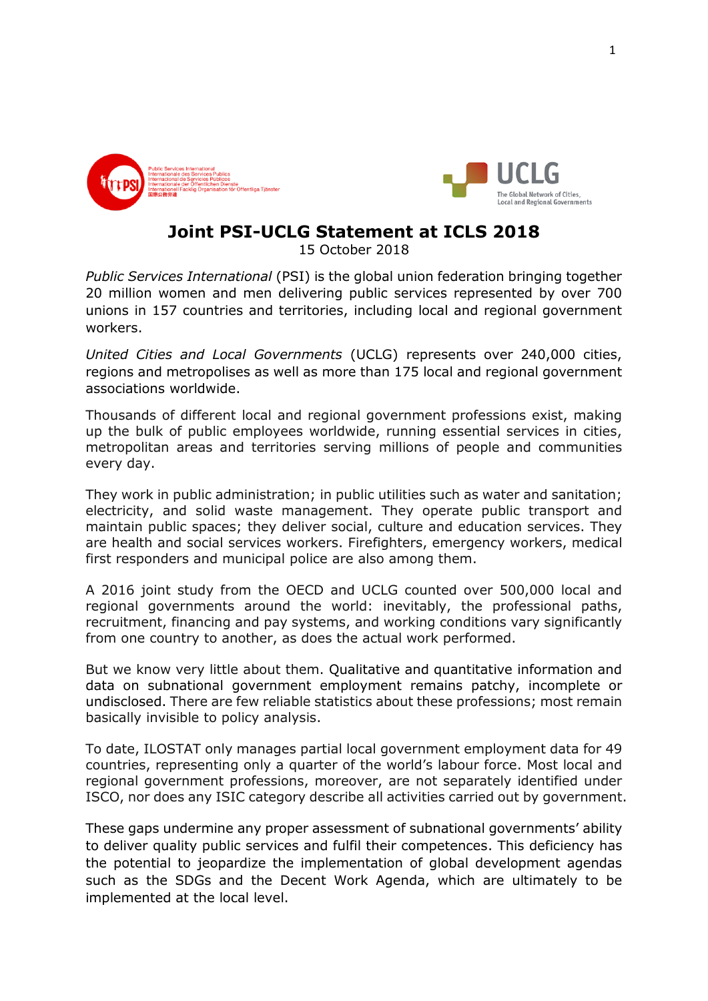



## **Joint PSI-UCLG Statement at ICLS 2018**

15 October 2018

*Public Services International* (PSI) is the global union federation bringing together 20 million women and men delivering public services represented by over 700 unions in 157 countries and territories, including local and regional government workers.

*United Cities and Local Governments* (UCLG) represents over 240,000 cities, regions and metropolises as well as more than 175 local and regional government associations worldwide.

Thousands of different local and regional government professions exist, making up the bulk of public employees worldwide, running essential services in cities, metropolitan areas and territories serving millions of people and communities every day.

They work in public administration; in public utilities such as water and sanitation; electricity, and solid waste management. They operate public transport and maintain public spaces; they deliver social, culture and education services. They are health and social services workers. Firefighters, emergency workers, medical first responders and municipal police are also among them.

A 2016 joint study from the OECD and UCLG counted over 500,000 local and regional governments around the world: inevitably, the professional paths, recruitment, financing and pay systems, and working conditions vary significantly from one country to another, as does the actual work performed.

But we know very little about them. Qualitative and quantitative information and data on subnational government employment remains patchy, incomplete or undisclosed. There are few reliable statistics about these professions; most remain basically invisible to policy analysis.

To date, ILOSTAT only manages partial local government employment data for 49 countries, representing only a quarter of the world's labour force. Most local and regional government professions, moreover, are not separately identified under ISCO, nor does any ISIC category describe all activities carried out by government.

These gaps undermine any proper assessment of subnational governments' ability to deliver quality public services and fulfil their competences. This deficiency has the potential to jeopardize the implementation of global development agendas such as the SDGs and the Decent Work Agenda, which are ultimately to be implemented at the local level.